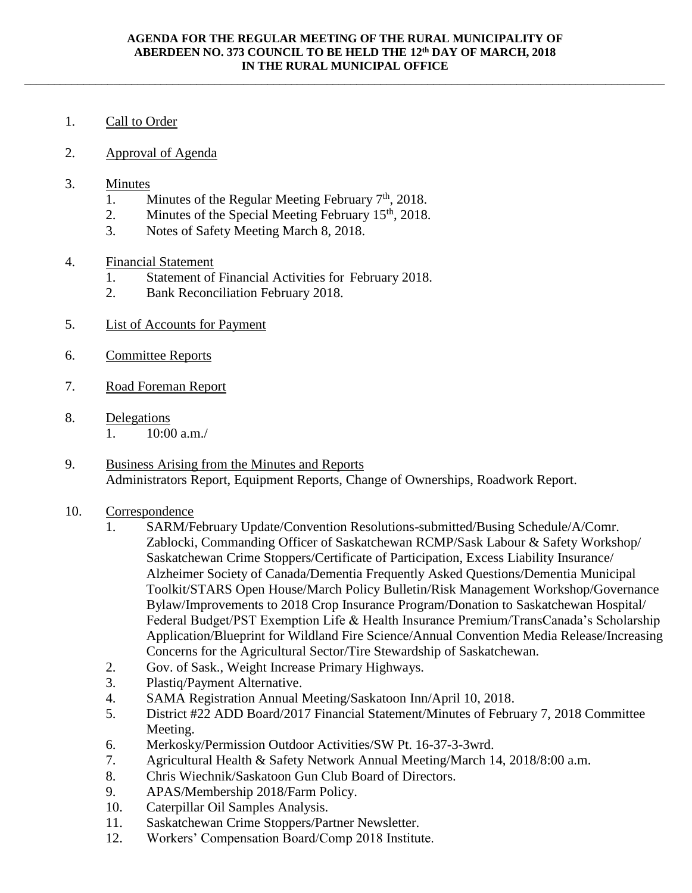\_\_\_\_\_\_\_\_\_\_\_\_\_\_\_\_\_\_\_\_\_\_\_\_\_\_\_\_\_\_\_\_\_\_\_\_\_\_\_\_\_\_\_\_\_\_\_\_\_\_\_\_\_\_\_\_\_\_\_\_\_\_\_\_\_\_\_\_\_\_\_\_\_\_\_\_\_\_\_\_\_\_\_\_\_\_\_\_\_\_\_\_\_\_\_\_\_\_\_\_\_\_\_\_\_\_\_\_

- 1. Call to Order
- 2. Approval of Agenda
- 3. Minutes
	- 1. Minutes of the Regular Meeting February  $7<sup>th</sup>$ , 2018.
	- 2. Minutes of the Special Meeting February  $15<sup>th</sup>$ , 2018.
	- 3. Notes of Safety Meeting March 8, 2018.
- 4. Financial Statement
	- 1. Statement of Financial Activities for February 2018.
	- 2. Bank Reconciliation February 2018.
- 5. List of Accounts for Payment
- 6. Committee Reports
- 7. Road Foreman Report
- 8. Delegations
	- 1.  $10:00$  a.m./
- 9. Business Arising from the Minutes and Reports Administrators Report, Equipment Reports, Change of Ownerships, Roadwork Report.
- 10. Correspondence
	- 1. SARM/February Update/Convention Resolutions-submitted/Busing Schedule/A/Comr. Zablocki, Commanding Officer of Saskatchewan RCMP/Sask Labour & Safety Workshop/ Saskatchewan Crime Stoppers/Certificate of Participation, Excess Liability Insurance/ Alzheimer Society of Canada/Dementia Frequently Asked Questions/Dementia Municipal Toolkit/STARS Open House/March Policy Bulletin/Risk Management Workshop/Governance Bylaw/Improvements to 2018 Crop Insurance Program/Donation to Saskatchewan Hospital/ Federal Budget/PST Exemption Life & Health Insurance Premium/TransCanada's Scholarship Application/Blueprint for Wildland Fire Science/Annual Convention Media Release/Increasing Concerns for the Agricultural Sector/Tire Stewardship of Saskatchewan.
	- 2. Gov. of Sask., Weight Increase Primary Highways.
	- 3. Plastiq/Payment Alternative.
	- 4. SAMA Registration Annual Meeting/Saskatoon Inn/April 10, 2018.
	- 5. District #22 ADD Board/2017 Financial Statement/Minutes of February 7, 2018 Committee Meeting.
	- 6. Merkosky/Permission Outdoor Activities/SW Pt. 16-37-3-3wrd.
	- 7. Agricultural Health & Safety Network Annual Meeting/March 14, 2018/8:00 a.m.
	- 8. Chris Wiechnik/Saskatoon Gun Club Board of Directors.
	- 9. APAS/Membership 2018/Farm Policy.
	- 10. Caterpillar Oil Samples Analysis.
	- 11. Saskatchewan Crime Stoppers/Partner Newsletter.
	- 12. Workers' Compensation Board/Comp 2018 Institute.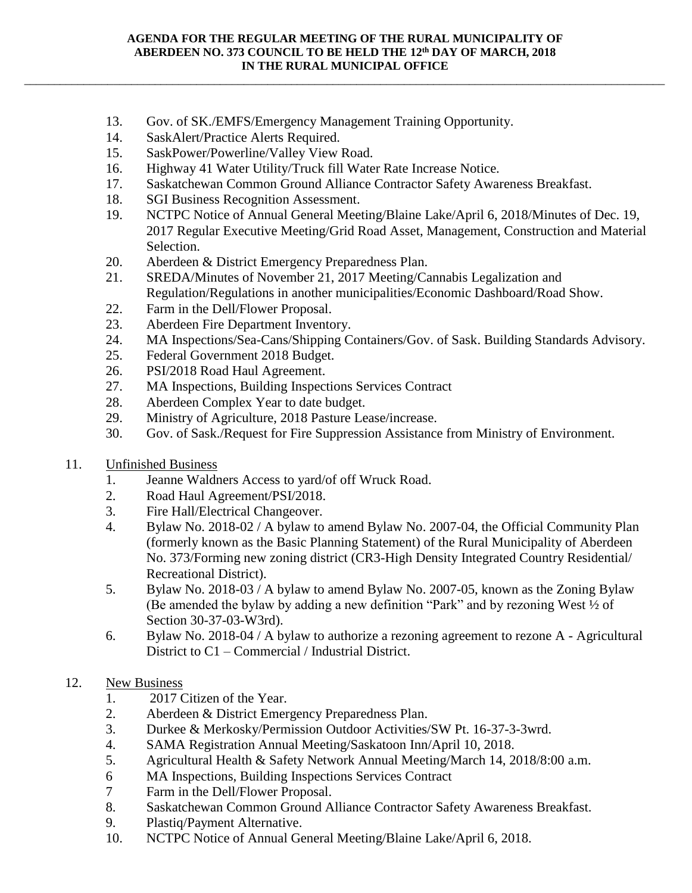## **AGENDA FOR THE REGULAR MEETING OF THE RURAL MUNICIPALITY OF ABERDEEN NO. 373 COUNCIL TO BE HELD THE 12th DAY OF MARCH, 2018 IN THE RURAL MUNICIPAL OFFICE**

\_\_\_\_\_\_\_\_\_\_\_\_\_\_\_\_\_\_\_\_\_\_\_\_\_\_\_\_\_\_\_\_\_\_\_\_\_\_\_\_\_\_\_\_\_\_\_\_\_\_\_\_\_\_\_\_\_\_\_\_\_\_\_\_\_\_\_\_\_\_\_\_\_\_\_\_\_\_\_\_\_\_\_\_\_\_\_\_\_\_\_\_\_\_\_\_\_\_\_\_\_\_\_\_\_\_\_\_

- 13. Gov. of SK./EMFS/Emergency Management Training Opportunity.
- 14. SaskAlert/Practice Alerts Required.
- 15. SaskPower/Powerline/Valley View Road.
- 16. Highway 41 Water Utility/Truck fill Water Rate Increase Notice.
- 17. Saskatchewan Common Ground Alliance Contractor Safety Awareness Breakfast.
- 18. SGI Business Recognition Assessment.
- 19. NCTPC Notice of Annual General Meeting/Blaine Lake/April 6, 2018/Minutes of Dec. 19, 2017 Regular Executive Meeting/Grid Road Asset, Management, Construction and Material Selection.
- 20. Aberdeen & District Emergency Preparedness Plan.
- 21. SREDA/Minutes of November 21, 2017 Meeting/Cannabis Legalization and Regulation/Regulations in another municipalities/Economic Dashboard/Road Show.
- 22. Farm in the Dell/Flower Proposal.
- 23. Aberdeen Fire Department Inventory.
- 24. MA Inspections/Sea-Cans/Shipping Containers/Gov. of Sask. Building Standards Advisory.
- 25. Federal Government 2018 Budget.
- 26. PSI/2018 Road Haul Agreement.
- 27. MA Inspections, Building Inspections Services Contract
- 28. Aberdeen Complex Year to date budget.
- 29. Ministry of Agriculture, 2018 Pasture Lease/increase.
- 30. Gov. of Sask./Request for Fire Suppression Assistance from Ministry of Environment.
- 11. Unfinished Business
	- 1. Jeanne Waldners Access to yard/of off Wruck Road.
	- 2. Road Haul Agreement/PSI/2018.
	- 3. Fire Hall/Electrical Changeover.
	- 4. Bylaw No. 2018-02 / A bylaw to amend Bylaw No. 2007-04, the Official Community Plan (formerly known as the Basic Planning Statement) of the Rural Municipality of Aberdeen No. 373/Forming new zoning district (CR3-High Density Integrated Country Residential/ Recreational District).
	- 5. Bylaw No. 2018-03 / A bylaw to amend Bylaw No. 2007-05, known as the Zoning Bylaw (Be amended the bylaw by adding a new definition "Park" and by rezoning West ½ of Section 30-37-03-W3rd).
	- 6. Bylaw No. 2018-04 / A bylaw to authorize a rezoning agreement to rezone A Agricultural District to C1 – Commercial / Industrial District.

## 12. New Business

- 1. 2017 Citizen of the Year.
- 2. Aberdeen & District Emergency Preparedness Plan.
- 3. Durkee & Merkosky/Permission Outdoor Activities/SW Pt. 16-37-3-3wrd.
- 4. SAMA Registration Annual Meeting/Saskatoon Inn/April 10, 2018.
- 5. Agricultural Health & Safety Network Annual Meeting/March 14, 2018/8:00 a.m.
- 6 MA Inspections, Building Inspections Services Contract
- 7 Farm in the Dell/Flower Proposal.
- 8. Saskatchewan Common Ground Alliance Contractor Safety Awareness Breakfast.
- 9. Plastiq/Payment Alternative.
- 10. NCTPC Notice of Annual General Meeting/Blaine Lake/April 6, 2018.